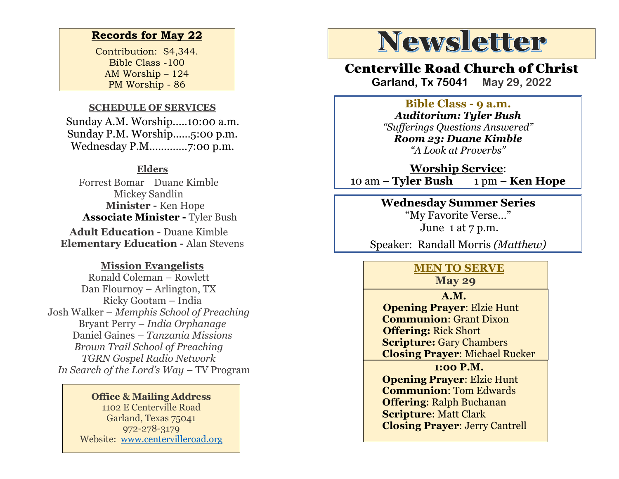## **Records for May 22**

Contribution: \$4,344. Bible Class -100 AM Worship – 124 PM Worship - 86

### **SCHEDULE OF SERVICES**

 Sunday A.M. Worship.….10:00 a.m. Sunday P.M. Worship……5:00 p.m. Wednesday P.M.…………7:00 p.m.

## **Elders**

Forrest Bomar Duane Kimble Mickey Sandlin  **Minister -** Ken Hope  **Associate Minister -** Tyler Bush

**Adult Education -** Duane Kimble **Elementary Education -** Alan Stevens

## **Mission Evangelists**

Ronald Coleman – Rowlett Dan Flournoy – Arlington, TX Ricky Gootam – India Josh Walker – *Memphis School of Preaching* Bryant Perry – *India Orphanage* Daniel Gaines *– Tanzania Missions Brown Trail School of Preaching TGRN Gospel Radio Network In Search of the Lord's Way – TV Program* 

## **Office & Mailing Address**

1102 E Centerville Road Garland, Texas 75041 972-278-3179 Website: [www.centervilleroad.org](https://d.docs.live.net/97e199c461b763eb/Newsletter/News%202020/August%202020/www.centervilleroad.org)

# **Newsletter**

# Centerville Road Church of Christ

**Garland, Tx 75041 May 29, 2022**

## **Bible Class - 9 a.m.**

*Auditorium: Tyler Bush "Sufferings Questions Answered" Room 23: Duane Kimble "A Look at Proverbs"*

**Worship Service**: 10 am – **Tyler Bush** 1 pm – **Ken Hope** 

> **Wednesday Summer Series** "My Favorite Verse…" June 1 at 7 p.m.

Speaker: Randall Morris *(Matthew)*

## **MEN TO SERVE**

**May 29**

 **A.M. Opening Prayer**: Elzie Hunt  **Communion**: Grant Dixon  **Offering:** Rick Short  **Scripture:** Gary Chambers  **Closing Prayer**: Michael Rucker

#### **1:00 P.M.**

 **Opening Prayer**: Elzie Hunt  **Communion**: Tom Edwards  **Offering**: Ralph Buchanan  **Scripture**: Matt Clark  **Closing Prayer**: Jerry Cantrell